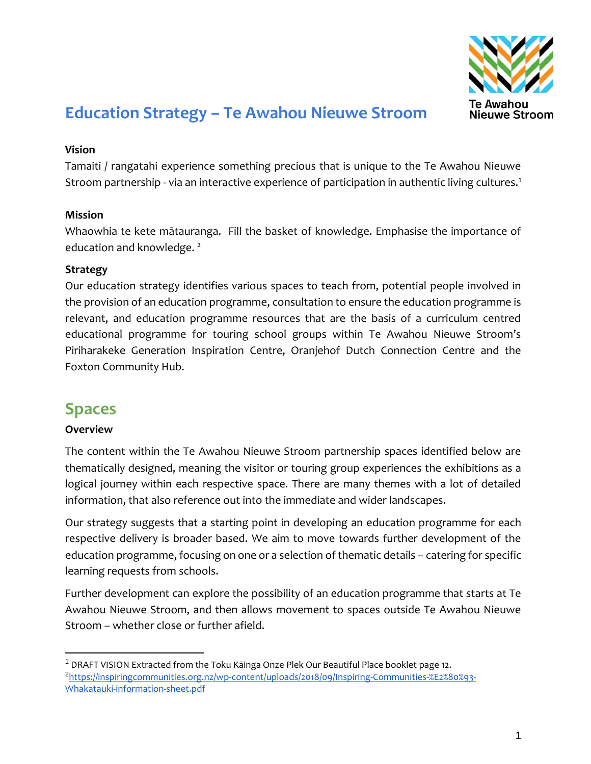

# **Education Strategy – Te Awahou Nieuwe Stroom**

#### **Vision**

Tamaiti / rangatahi experience something precious that is unique to the Te Awahou Nieuwe Stroom partnership - via an interactive experience of participation in authentic living cultures.<sup>1</sup>

#### **Mission**

Whaowhia te kete mātauranga. Fill the basket of knowledge. Emphasise the importance of education and knowledge.<sup>2</sup>

#### **Strategy**

Our education strategy identifies various spaces to teach from, potential people involved in the provision of an education programme, consultation to ensure the education programme is relevant, and education programme resources that are the basis of a curriculum centred educational programme for touring school groups within Te Awahou Nieuwe Stroom's Piriharakeke Generation Inspiration Centre, Oranjehof Dutch Connection Centre and the Foxton Community Hub.

# **Spaces**

#### **Overview**

 $\overline{a}$ 

The content within the Te Awahou Nieuwe Stroom partnership spaces identified below are thematically designed, meaning the visitor or touring group experiences the exhibitions as a logical journey within each respective space. There are many themes with a lot of detailed information, that also reference out into the immediate and wider landscapes.

Our strategy suggests that a starting point in developing an education programme for each respective delivery is broader based. We aim to move towards further development of the education programme, focusing on one or a selection of thematic details – catering for specific learning requests from schools.

Further development can explore the possibility of an education programme that starts at Te Awahou Nieuwe Stroom, and then allows movement to spaces outside Te Awahou Nieuwe Stroom – whether close or further afield.

<sup>&</sup>lt;sup>1</sup> DRAFT VISION Extracted from the Toku Kāinga Onze Plek Our Beautiful Place booklet page 12. <sup>2</sup>[https://inspiringcommunities.org.nz/wp-content/uploads/2018/09/Inspiring-Communities-%E2%80%93-](https://inspiringcommunities.org.nz/wp-content/uploads/2018/09/Inspiring-Communities-%E2%80%93-Whakatauki-information-sheet.pdf) [Whakatauki-information-sheet.pdf](https://inspiringcommunities.org.nz/wp-content/uploads/2018/09/Inspiring-Communities-%E2%80%93-Whakatauki-information-sheet.pdf)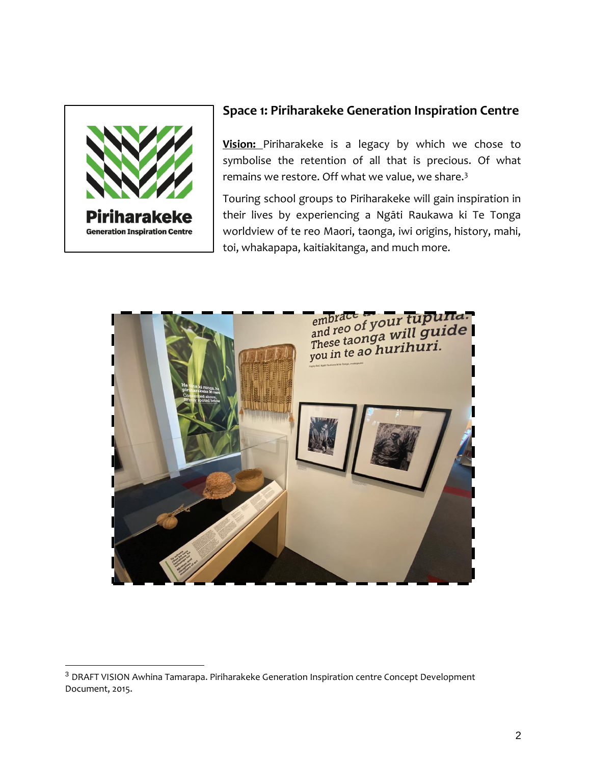

 $\overline{a}$ 

### **Space 1: Piriharakeke Generation Inspiration Centre**

**Vision:** Piriharakeke is a legacy by which we chose to symbolise the retention of all that is precious. Of what remains we restore. Off what we value, we share.<sup>3</sup>

Touring school groups to Piriharakeke will gain inspiration in their lives by experiencing a Ngāti Raukawa ki Te Tonga worldview of te reo Maori, taonga, iwi origins, history, mahi, toi, whakapapa, kaitiakitanga, and much more.



<sup>&</sup>lt;sup>3</sup> DRAFT VISION Awhina Tamarapa. Piriharakeke Generation Inspiration centre Concept Development Document, 2015.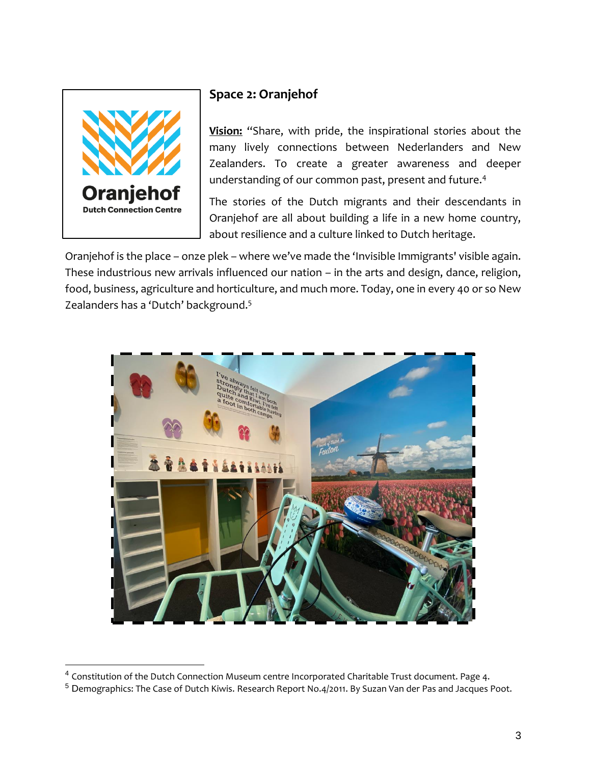

 $\overline{a}$ 

## **Space 2: Oranjehof**

**Vision:** "Share, with pride, the inspirational stories about the many lively connections between Nederlanders and New Zealanders. To create a greater awareness and deeper understanding of our common past, present and future.<sup>4</sup>

The stories of the Dutch migrants and their descendants in Oranjehof are all about building a life in a new home country, about resilience and a culture linked to Dutch heritage.

Oranjehof is the place – onze plek – where we've made the 'Invisible Immigrants' visible again. These industrious new arrivals influenced our nation – in the arts and design, dance, religion, food, business, agriculture and horticulture, and much more. Today, one in every 40 or so New Zealanders has a 'Dutch' background.<sup>5</sup>



 $^4$  Constitution of the Dutch Connection Museum centre Incorporated Charitable Trust document. Page 4.

<sup>&</sup>lt;sup>5</sup> Demographics: The Case of Dutch Kiwis. Research Report No.4/2011. By Suzan Van der Pas and Jacques Poot.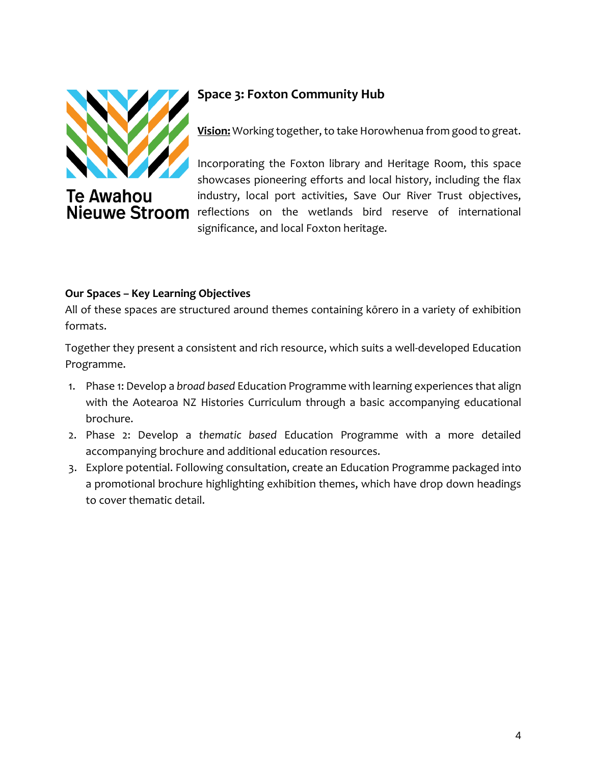

**Te Awahou** 

## **Space 3: Foxton Community Hub**

**Vision:** Working together, to take Horowhenua from good to great.

Incorporating the Foxton library and Heritage Room, this space showcases pioneering efforts and local history, including the flax industry, local port activities, Save Our River Trust objectives, Nieuwe Stroom reflections on the wetlands bird reserve of international significance, and local Foxton heritage.

### **Our Spaces – Key Learning Objectives**

All of these spaces are structured around themes containing kōrero in a variety of exhibition formats.

Together they present a consistent and rich resource, which suits a well-developed Education Programme.

- 1. Phase 1: Develop a *broad based* Education Programme with learning experiences that align with the Aotearoa NZ Histories Curriculum through a basic accompanying educational brochure.
- 2. Phase 2: Develop a *thematic based* Education Programme with a more detailed accompanying brochure and additional education resources.
- 3. Explore potential. Following consultation, create an Education Programme packaged into a promotional brochure highlighting exhibition themes, which have drop down headings to cover thematic detail.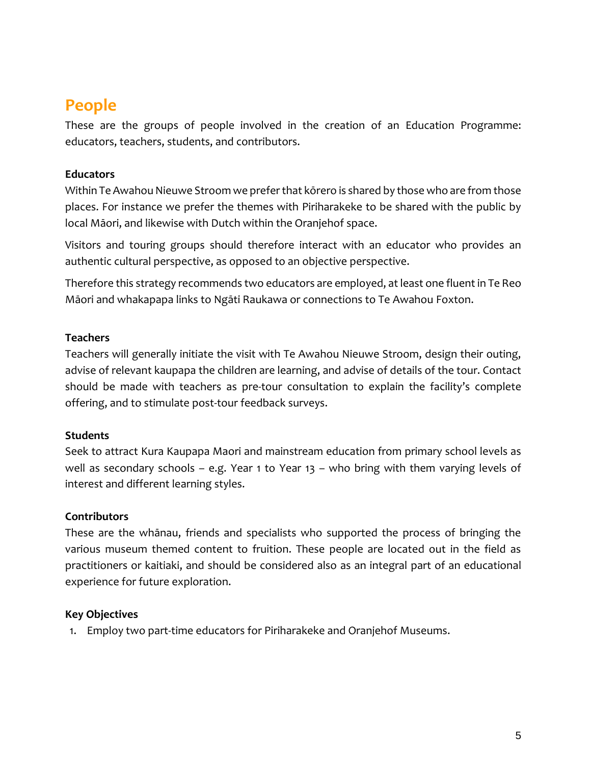# **People**

These are the groups of people involved in the creation of an Education Programme: educators, teachers, students, and contributors.

#### **Educators**

Within Te Awahou Nieuwe Stroom we prefer that kōrero is shared by those who are from those places. For instance we prefer the themes with Piriharakeke to be shared with the public by local Māori, and likewise with Dutch within the Oranjehof space.

Visitors and touring groups should therefore interact with an educator who provides an authentic cultural perspective, as opposed to an objective perspective.

Therefore this strategy recommends two educators are employed, at least one fluent in Te Reo Māori and whakapapa links to Ngāti Raukawa or connections to Te Awahou Foxton.

#### **Teachers**

Teachers will generally initiate the visit with Te Awahou Nieuwe Stroom, design their outing, advise of relevant kaupapa the children are learning, and advise of details of the tour. Contact should be made with teachers as pre-tour consultation to explain the facility's complete offering, and to stimulate post-tour feedback surveys.

#### **Students**

Seek to attract Kura Kaupapa Maori and mainstream education from primary school levels as well as secondary schools – e.g. Year 1 to Year 13 – who bring with them varying levels of interest and different learning styles.

#### **Contributors**

These are the whānau, friends and specialists who supported the process of bringing the various museum themed content to fruition. These people are located out in the field as practitioners or kaitiaki, and should be considered also as an integral part of an educational experience for future exploration.

#### **Key Objectives**

1. Employ two part-time educators for Piriharakeke and Oranjehof Museums.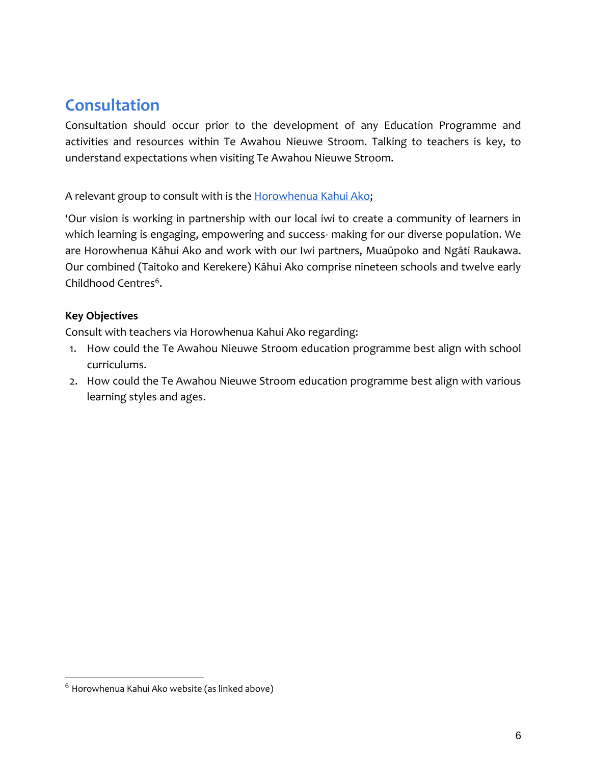# **Consultation**

Consultation should occur prior to the development of any Education Programme and activities and resources within Te Awahou Nieuwe Stroom. Talking to teachers is key, to understand expectations when visiting Te Awahou Nieuwe Stroom.

#### A relevant group to consult with is the [Horowhenua Kahui Ako;](https://www.horowhenuakahuiako.ac.nz/1/pages/1-welcome-to-horowhenua-kahui-ako)

'Our vision is working in partnership with our local iwi to create a community of learners in which learning is engaging, empowering and success- making for our diverse population. We are Horowhenua Kāhui Ako and work with our Iwi partners, Muaūpoko and Ngāti Raukawa. Our combined (Taitoko and Kerekere) Kāhui Ako comprise nineteen schools and twelve early Childhood Centres<sup>6</sup>.

#### **Key Objectives**

Consult with teachers via Horowhenua Kahui Ako regarding:

- 1. How could the Te Awahou Nieuwe Stroom education programme best align with school curriculums.
- 2. How could the Te Awahou Nieuwe Stroom education programme best align with various learning styles and ages.

 $6$  Horowhenua Kahui Ako website (as linked above)